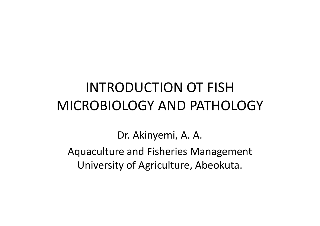#### INTRODUCTION OT FISH MICROBIOLOGY AND PATHOLOGY

Dr. Akinyemi, A. A.

Aquaculture and Fisheries ManagementUniversity of Agriculture, Abeokuta.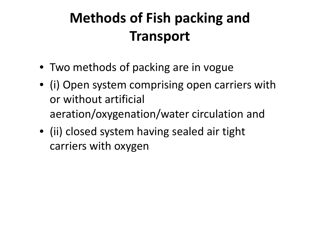# **Methods of Fish packing and Transport**

- Two methods of packing are in vogue
- (i) Open system comprising open carriers with or without artificial aeration/oxygenation/water circulation and
- (ii) closed system having sealed air tight carriers with oxygen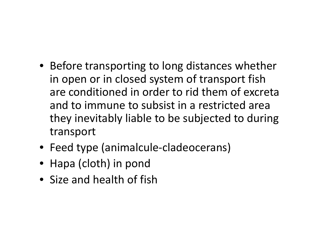- Before transporting to long distances whether in open or in closed system of transport fish are conditioned in order to rid them of excreta and to immune to subsist in a restricted area they inevitably liable to be subjected to during transport
- Feed type (animalcule-cladeocerans)
- Hapa (cloth) in pond
- Size and health of fish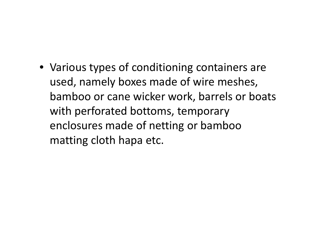• Various types of conditioning containers are used, namely boxes made of wire meshes, bamboo or cane wicker work, barrels or boats with perforated bottoms, temporary enclosures made of netting or bamboo matting cloth hapa etc.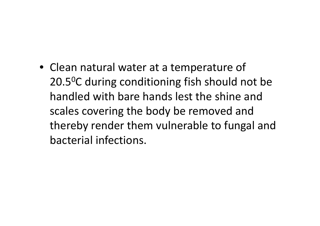• Clean natural water at a temperature of 20.5<sup>0</sup>C during conditioning fish should not be handled with bare hands lest the shine and scales covering the body be removed and thereby render them vulnerable to fungal and bacterial infections.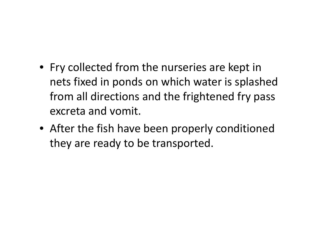- Fry collected from the nurseries are kept in nets fixed in ponds on which water is splashed from all directions and the frightened fry pass excreta and vomit.
- After the fish have been properly conditioned they are ready to be transported.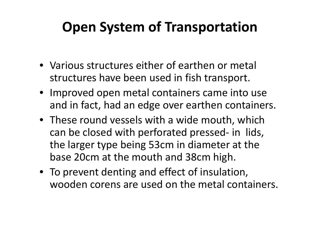### **Open System of Transportation**

- Various structures either of earthen or metal structures have been used in fish transport.
- Improved open metal containers came into use and in fact, had an edge over earthen containers.
- These round vessels with a wide mouth, which can be closed with perforated pressed- in lids, the larger type being 53cm in diameter at the base 20cm at the mouth and 38cm high.
- To prevent denting and effect of insulation, wooden corens are used on the metal containers.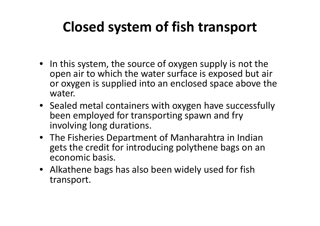### **Closed system of fish transport**

- In this system, the source of oxygen supply is not the open air to which the water surface is exposed but air or oxygen is supplied into an enclosed space above the water.
- Sealed metal containers with oxygen have successfully been employed for transporting spawn and fry involving long durations.
- The Fisheries Department of Manharahtra in Indian gets the credit for introducing polythene bags on an economic basis.
- Alkathene bags has also been widely used for fish transport.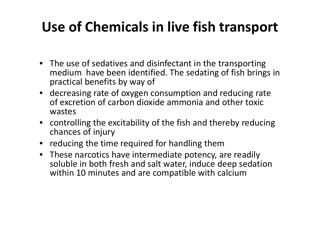### **Use of Chemicals in live fish transport**

- The use of sedatives and disinfectant in the transporting medium have been identified. The sedating of fish brings in practical benefits by way of
- decreasing rate of oxygen consumption and reducing rate of excretion of carbon dioxide ammonia and other toxic wastes
- controlling the excitability of the fish and thereby reducing chances of injury
- reducing the time required for handling them
- These narcotics have intermediate potency, are readily soluble in both fresh and salt water, induce deep sedation within 10 minutes and are compatible with calcium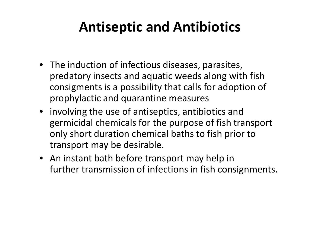#### **Antiseptic and Antibiotics**

- The induction of infectious diseases, parasites, predatory insects and aquatic weeds along with fish consigments is a possibility that calls for adoption of prophylactic and quarantine measures
- involving the use of antiseptics, antibiotics and germicidal chemicals for the purpose of fish transport only short duration chemical baths to fish prior to transport may be desirable.
- An instant bath before transport may help in further transmission of infections in fish consignments.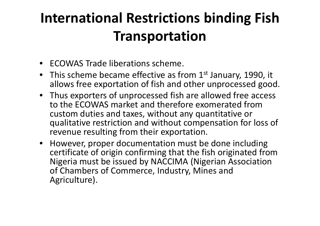## **International Restrictions binding Fish Transportation**

- ECOWAS Trade liberations scheme.
- This scheme became effective as from  $1<sup>st</sup>$  January, 1990, it allows free exportation of fish and other unprocessed good.
- Thus exporters of unprocessed fish are allowed free access to the ECOWAS market and therefore exomerated from custom duties and taxes, without any quantitative or qualitative restriction and without compensation for loss of revenue resulting from their exportation.
- However, proper documentation must be done including certificate of origin confirming that the fish originated from Nigeria must be issued by NACCIMA (Nigerian Association of Chambers of Commerce, Industry, Mines and Agriculture).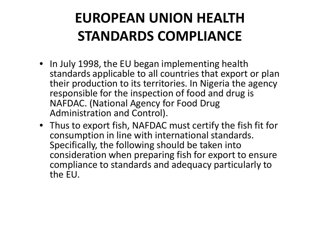## **EUROPEAN UNION HEALTH STANDARDS COMPLIANCE**

- In July 1998, the EU began implementing health standards applicable to all countries that export or plan their production to its territories. In Nigeria the agency responsible for the inspection of food and drug is NAFDAC. (National Agency for Food Drug Administration and Control).
- Thus to export fish, NAFDAC must certify the fish fit for consumption in line with international standards. Specifically, the following should be taken into consideration when preparing fish for export to ensure compliance to standards and adequacy particularly tothe EU.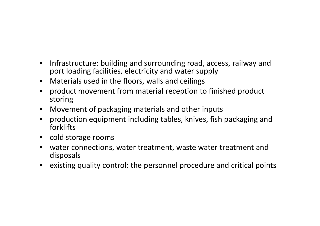- • Infrastructure: building and surrounding road, access, railway and port loading facilities, electricity and water supply
- $\bullet$ Materials used in the floors, walls and ceilings
- $\bullet$  product movement from material reception to finished product storing
- $\bullet$ Movement of packaging materials and other inputs
- $\bullet$  production equipment including tables, knives, fish packaging and forklifts
- cold storage rooms
- $\bullet$  water connections, water treatment, waste water treatment and disposals
- existing quality control: the personnel procedure and critical points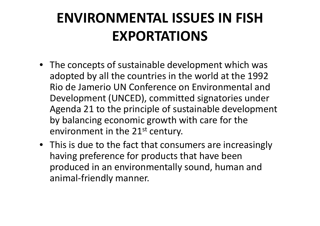## **ENVIRONMENTAL ISSUES IN FISH EXPORTATIONS**

- The concepts of sustainable development which was adopted by all the countries in the world at the 1992 Rio de Jamerio UN Conference on Environmental and Development (UNCED), committed signatories under Agenda 21 to the principle of sustainable development by balancing economic growth with care for the environment in the 21<sup>st</sup> century.
- This is due to the fact that consumers are increasingly having preference for products that have been produced in an environmentally sound, human and animal-friendly manner.